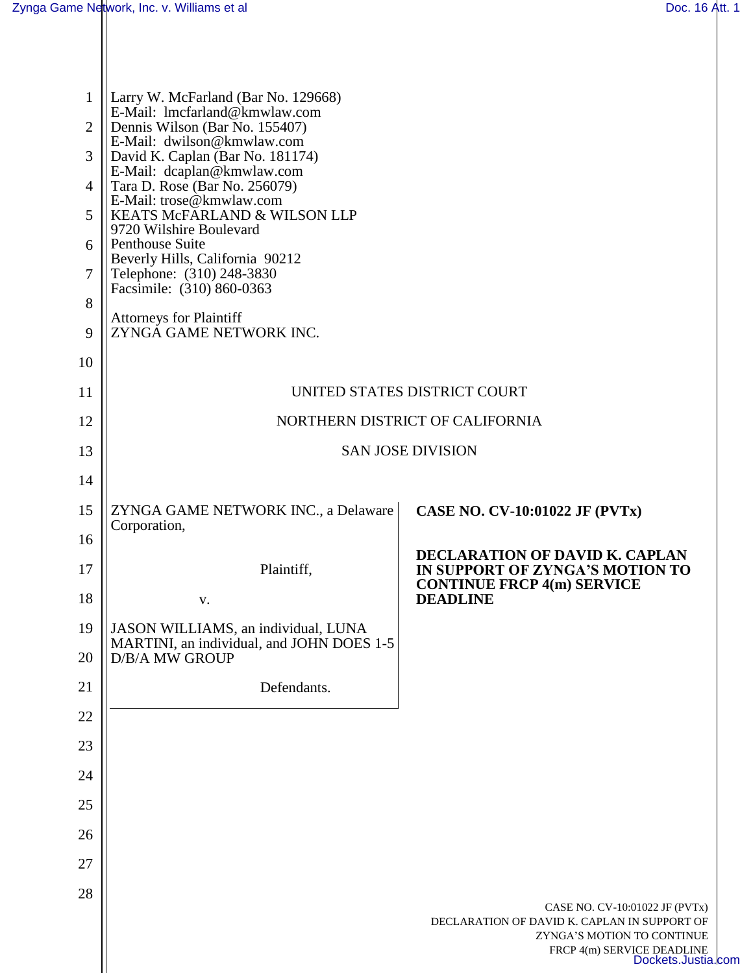| $\mathbf{1}$   | Larry W. McFarland (Bar No. 129668)<br>E-Mail: lmcfarland@kmwlaw.com<br>Dennis Wilson (Bar No. 155407)<br>E-Mail: dwilson@kmwlaw.com<br>David K. Caplan (Bar No. 181174)<br>E-Mail: dcaplan@kmwlaw.com<br>Tara D. Rose (Bar No. 256079)<br>E-Mail: trose@kmwlaw.com<br>KEATS McFARLAND & WILSON LLP<br>9720 Wilshire Boulevard<br>Penthouse Suite<br>Beverly Hills, California 90212 |                                                                            |  |
|----------------|--------------------------------------------------------------------------------------------------------------------------------------------------------------------------------------------------------------------------------------------------------------------------------------------------------------------------------------------------------------------------------------|----------------------------------------------------------------------------|--|
| $\overline{2}$ |                                                                                                                                                                                                                                                                                                                                                                                      |                                                                            |  |
| 3              |                                                                                                                                                                                                                                                                                                                                                                                      |                                                                            |  |
| $\overline{4}$ |                                                                                                                                                                                                                                                                                                                                                                                      |                                                                            |  |
| 5              |                                                                                                                                                                                                                                                                                                                                                                                      |                                                                            |  |
| 6              |                                                                                                                                                                                                                                                                                                                                                                                      |                                                                            |  |
| 7              | Telephone: (310) 248-3830<br>Facsimile: (310) 860-0363                                                                                                                                                                                                                                                                                                                               |                                                                            |  |
| 8              | <b>Attorneys for Plaintiff</b>                                                                                                                                                                                                                                                                                                                                                       |                                                                            |  |
| 9              | ZYNGA GAME NETWORK INC.                                                                                                                                                                                                                                                                                                                                                              |                                                                            |  |
| 10             |                                                                                                                                                                                                                                                                                                                                                                                      |                                                                            |  |
| 11             | UNITED STATES DISTRICT COURT                                                                                                                                                                                                                                                                                                                                                         |                                                                            |  |
| 12             | NORTHERN DISTRICT OF CALIFORNIA                                                                                                                                                                                                                                                                                                                                                      |                                                                            |  |
| 13             | <b>SAN JOSE DIVISION</b>                                                                                                                                                                                                                                                                                                                                                             |                                                                            |  |
| 14             |                                                                                                                                                                                                                                                                                                                                                                                      |                                                                            |  |
| 15             | ZYNGA GAME NETWORK INC., a Delaware<br>Corporation,                                                                                                                                                                                                                                                                                                                                  | <b>CASE NO. CV-10:01022 JF (PVTx)</b>                                      |  |
| 16             |                                                                                                                                                                                                                                                                                                                                                                                      | DECLARATION OF DAVID K. CAPLAN                                             |  |
| 17             | Plaintiff,                                                                                                                                                                                                                                                                                                                                                                           | IN SUPPORT OF ZYNGA'S MOTION TO<br><b>CONTINUE FRCP 4(m) SERVICE</b>       |  |
| 18             | V.                                                                                                                                                                                                                                                                                                                                                                                   | <b>DEADLINE</b>                                                            |  |
| 19             | JASON WILLIAMS, an individual, LUNA<br>MARTINI, an individual, and JOHN DOES 1-5                                                                                                                                                                                                                                                                                                     |                                                                            |  |
| 20             | <b>D/B/A MW GROUP</b>                                                                                                                                                                                                                                                                                                                                                                |                                                                            |  |
| 21             | Defendants.                                                                                                                                                                                                                                                                                                                                                                          |                                                                            |  |
| 22             |                                                                                                                                                                                                                                                                                                                                                                                      |                                                                            |  |
| 23             |                                                                                                                                                                                                                                                                                                                                                                                      |                                                                            |  |
| 24             |                                                                                                                                                                                                                                                                                                                                                                                      |                                                                            |  |
| 25             |                                                                                                                                                                                                                                                                                                                                                                                      |                                                                            |  |
| 26             |                                                                                                                                                                                                                                                                                                                                                                                      |                                                                            |  |
| 27             |                                                                                                                                                                                                                                                                                                                                                                                      |                                                                            |  |
| 28             |                                                                                                                                                                                                                                                                                                                                                                                      | CASE NO. CV-10:01022 JF (PVTx)                                             |  |
|                |                                                                                                                                                                                                                                                                                                                                                                                      | DECLARATION OF DAVID K. CAPLAN IN SUPPORT OF<br>ZYNGA'S MOTION TO CONTINUE |  |
|                |                                                                                                                                                                                                                                                                                                                                                                                      | FRCP 4(m) SERVICE DEADLINE<br>Dockets.Justia.com                           |  |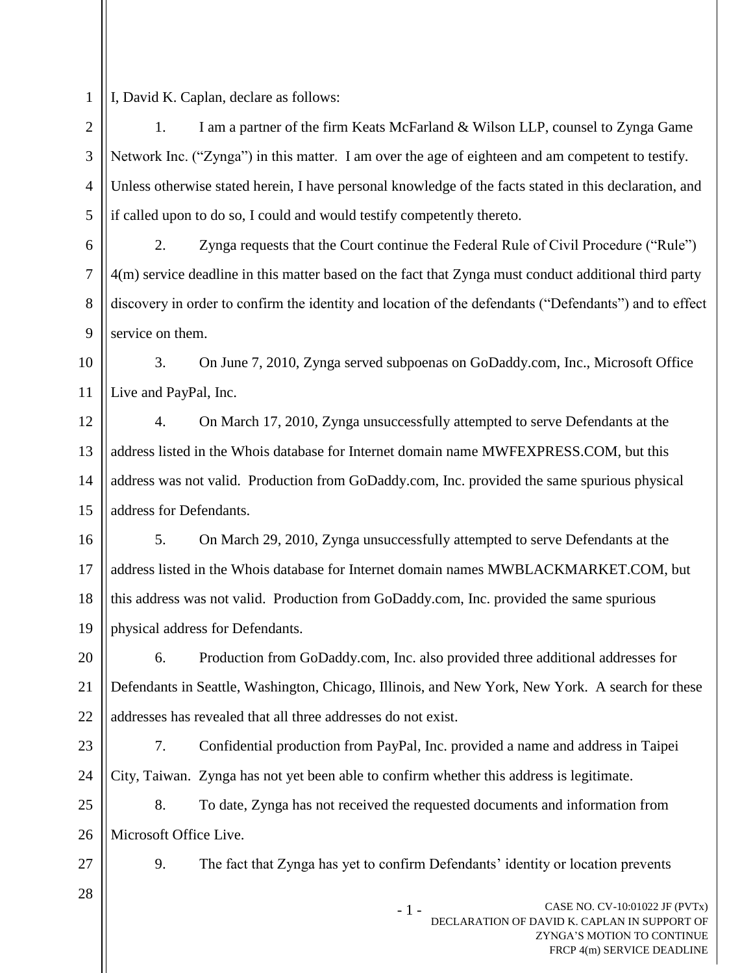I, David K. Caplan, declare as follows:

1

2 3 4 5 1. I am a partner of the firm Keats McFarland & Wilson LLP, counsel to Zynga Game Network Inc. ("Zynga") in this matter. I am over the age of eighteen and am competent to testify. Unless otherwise stated herein, I have personal knowledge of the facts stated in this declaration, and if called upon to do so, I could and would testify competently thereto.

6 7 8 9 2. Zynga requests that the Court continue the Federal Rule of Civil Procedure ("Rule") 4(m) service deadline in this matter based on the fact that Zynga must conduct additional third party discovery in order to confirm the identity and location of the defendants ("Defendants") and to effect service on them.

10 11 3. On June 7, 2010, Zynga served subpoenas on GoDaddy.com, Inc., Microsoft Office Live and PayPal, Inc.

12 13 14 15 4. On March 17, 2010, Zynga unsuccessfully attempted to serve Defendants at the address listed in the Whois database for Internet domain name MWFEXPRESS.COM, but this address was not valid. Production from GoDaddy.com, Inc. provided the same spurious physical address for Defendants.

16 17 18 19 5. On March 29, 2010, Zynga unsuccessfully attempted to serve Defendants at the address listed in the Whois database for Internet domain names MWBLACKMARKET.COM, but this address was not valid. Production from GoDaddy.com, Inc. provided the same spurious physical address for Defendants.

20 21 22 6. Production from GoDaddy.com, Inc. also provided three additional addresses for Defendants in Seattle, Washington, Chicago, Illinois, and New York, New York. A search for these addresses has revealed that all three addresses do not exist.

23 24 7. Confidential production from PayPal, Inc. provided a name and address in Taipei City, Taiwan. Zynga has not yet been able to confirm whether this address is legitimate.

25 26 8. To date, Zynga has not received the requested documents and information from Microsoft Office Live.

27

28

9. The fact that Zynga has yet to confirm Defendants' identity or location prevents

CASE NO. CV-10:01022 JF (PVTx) DECLARATION OF DAVID K. CAPLAN IN SUPPORT OF ZYNGA'S MOTION TO CONTINUE FRCP 4(m) SERVICE DEADLINE - 1 -